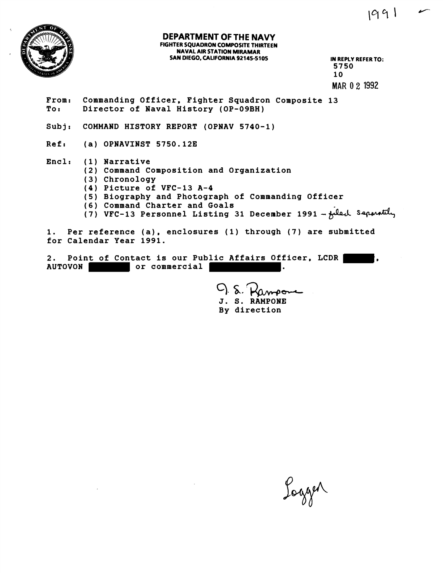

## **DEPARTMENT OF THE NAVY FIGHTER SQUADRON COMPOSITE THIRTEEN NAVAL AIR STATION MIRAMAR**  SAN DIEGO, CALIFORNIA 92145-5105 **IN REPLY REFER TO:**

**5750**  10 **MAR 0 2** 1992

 $1991 -$ 

- **From: Commanding Officer, Fighter Squadron Composite 13 To I Director of Naval History (OP-09BH)**
- **Subj: COMMAND HISTORY REPORT (OPNAV 5740-1)**
- **Ref: (a) OPNAVINST 5750.123**
- **Encl: (1) Narrative** 
	- **(2) Command Composition and Organization**
	- **(3) Chronology**
	- **(4) Picture of VFC-13 A-4**
	- **(5) Biography and Photograph of Commanding Officer**
	- **(6) Command Charter and Goals**
	- (7) VFC-13 Personnel Listing 31 December 1991 feed Separately

**1. Per reference (a), enclosures (1) through (7) are submitted for Calendar Year 1991.** 

2. Point of Contact is our Public Affairs Officer, LCDR **(2.6)**, AUTOVON or commercial  $\vert$ 

> $Q_{\cdot}$  s. **J. s. RAHPONE By direction**

Logger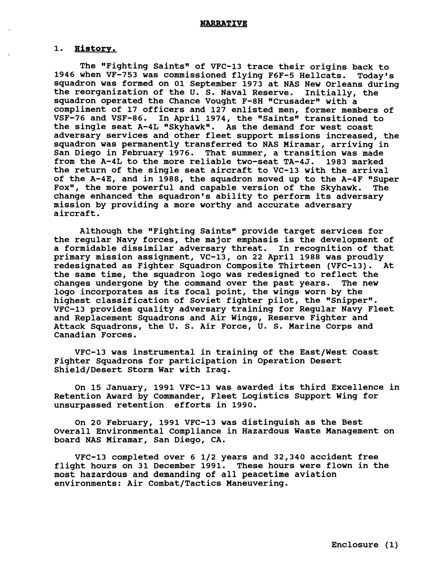## 1. History.

**The "Fighting saintsw of VFC-13 trace their origins back to 1946 when VF-753 was commissioned flying F6F-5 Hellcats. Today's squadron was formed on 01 September 1973 at NAS New Orleans during the reorganization of the U. S. Naval Reserve. Initially, the**  squadron operated the Chance Vought F-8H "Crusader" with a **compliment of 17 officers and 127 enlisted men, former members of**  VSF-76 and VSF-86. In April 1974, the "Saints" transitioned to the single seat A-4L "Skyhawk". As the demand for west coast **adversary services and other fleet support missions increased, the**  squadron was permanently transferred to NAS Miramar, arriving in **San Diego in February 1976. That summer, a transition was made from the A-4L to the more reliable two-seat TA-4J. 1983 marked the return of the single seat aircraft to VC-13 with the arrival of the A-4E, and in 1988, the squadron moved up to the A-4F "Super Fox\*', the more powerful and capable version of the Skyhawk. The change enhanced the squadron's ability to perform its adversary mission by providing a more worthy and accurate adversary aircraft** .

**Although the "Fighting Saints" provide target services for the regular Navy forces, the major emphasis is the development of a formidable dissimilar adversary threat. In recognition of that primary mission assignment, VC-13, on 22 April 1988 was proudly redesignated as Fighter Squadron Composite Thirteen (VFC-13). At the same time, the squadron logo was redesigned to reflect the**  changes undergone by the command over the past years. **logo incorporates as its focal point, the wings worn by the**  highest classification of Soviet fighter pilot, the "Snipper". **VFC-13 provides quality adversary training for Regular Navy Fleet and Replacement Squadrons and Air Wings, Reserve Fighter and Attack Squadrons, the U. S. Air Force, U. S. Marine Corps and Canadian Forces.** 

**VFC-13 was instrumental in training of the East/West Coast Fighter Squadrons for participation in Operation Desert Shield/Desert Storm War with Iraq.** 

**On 15 January, 1991 VFC-13 was awarded its third Excellence in**  Retention Award by Commander, Fleet Logistics Support Wing for **unsurpassed retention. efforts in 1990.** 

**On 20 February, 1991 VFC-13 was distinguish as the Best Overall Environmental Compliance in Hazardous Waste Management on board NAS Miramar, San Diego, CA.** 

**VFC-13 completed over 6 112 years and 32,340 accident free flight hours on 31 December 1991. These hours were flown in the most hazardous and demanding of all peacetime aviation environments: Air Combat/Tactics Maneuvering.**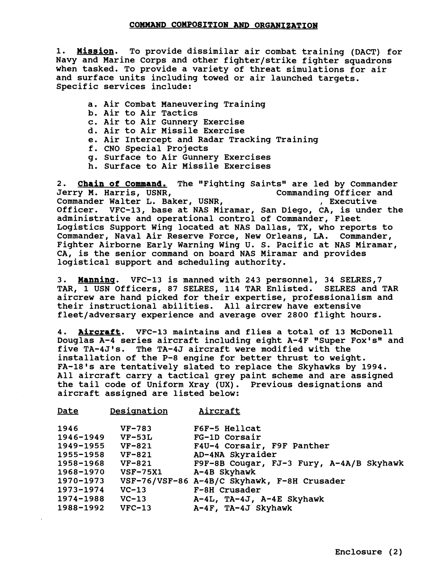1. **Mission.** To provide dissimilar air combat training (DACT) for Navy and Marine Corps and other fighter/strike fighter squadrons when tasked. To provide a variety of threat simulations for air and surface units including towed or air launched targets. Specific services include:

- a. Air Combat Maneuvering Training
- b. Air to Air Tactics
- c. Air to Air Gunnery Exercise
- d. Air to Air Missile Exercise
- e. Air Intercept and Radar Tracking Training
- f. CNO Special Projects
- g. Surface to Air Gunnery Exercises
- h. Surface to Air Missile Exercises

2. **Chain of Command.** The "Fighting Saints" are led by Commander Jerry M. Harris, USNR,<br>
Commander Walter L. Baker, USNR,<br>
Commander Walter L. Baker, USNR,<br>
Commanding Officer and Commander Walter L. Baker, USNR, Officer. VFC-13, base at NAS Miramar, San Diego, CA, is under the administrative and operational control of Commander, Fleet Logistics Support Wing located at NAS Dallas, TX, who reports to Commander, Naval Air Reserve Force, New Orleans, LA. Commander, Fighter Airborne Early Warning Wing U. S. Pacific at NAS Miramar, CA, is the senior command on board NAS Miramar and provides logistical support and scheduling authority.

3. **Manninq.** VFC-13 is manned with 243 personnel, 34 SELRES,7 TAR, 1 USN Officers, 87 SELRES, 114 TAR Enlisted. SELRES and TAR aircrew are hand picked for their expertise, professionalism and their instructional abilities. All aircrew have extensive fleet/adversary experience and average over 2800 flight hours.

**4.** aircraft. VFC-13 maintains and flies a total of 13 McDonell Douglas A-4 series aircraft including eight A-4F "Super Fox's" and five TA-4J1s. The TA-4J aircraft were modified with the installation of the P-8 engine for better thrust to weight. FA-18's are tentatively slated to replace the Skyhawks by 1994. All aircraft carry a tactical grey paint scheme and are assigned the tail code of Uniform Xray (UX). Previous designations and aircraft assigned are listed below:

| Date      | Designation     | Aircraft                                    |
|-----------|-----------------|---------------------------------------------|
| 1946      | $VF-783$        | F6F-5 Hellcat                               |
| 1946-1949 | $VF-53L$        | FG-1D Corsair                               |
| 1949-1955 | VF-821          | F4U-4 Corsair, F9F Panther                  |
| 1955-1958 | <b>VF-821</b>   | AD-4NA Skyraider                            |
| 1958-1968 | VF-821          | F9F-8B Cougar, FJ-3 Fury, A-4A/B Skyhawk    |
| 1968-1970 | <b>VSF-75X1</b> | A-4B Skyhawk                                |
| 1970–1973 |                 | VSF-76/VSF-86 A-4B/C Skyhawk, F-8H Crusader |
| 1973-1974 | $VC-13$         | F-8H Crusader                               |
| 1974-1988 | $VC-13$         | A-4L, TA-4J, A-4E Skyhawk                   |
| 1988-1992 | $VFC-13$        | A-4F, TA-4J Skyhawk                         |